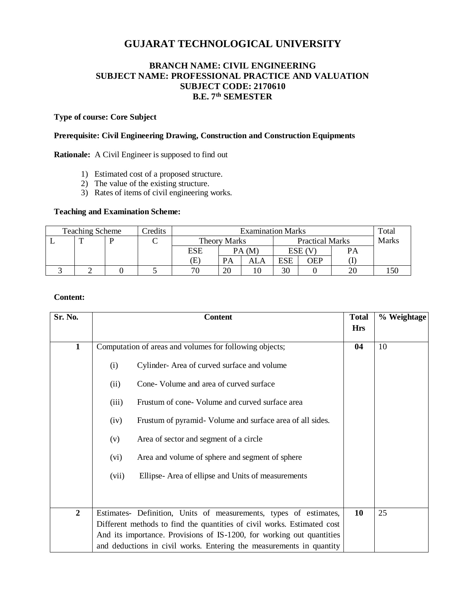# **GUJARAT TECHNOLOGICAL UNIVERSITY**

## **BRANCH NAME: CIVIL ENGINEERING SUBJECT NAME: PROFESSIONAL PRACTICE AND VALUATION SUBJECT CODE: 2170610 B.E. 7 th SEMESTER**

### **Type of course: Core Subject**

### **Prerequisite: Civil Engineering Drawing, Construction and Construction Equipments**

**Rationale:** A Civil Engineer is supposed to find out

- 1) Estimated cost of a proposed structure.
- 2) The value of the existing structure.
- 3) Rates of items of civil engineering works.

### **Teaching and Examination Scheme:**

| <b>Teaching Scheme</b> |   |  | Credits | <b>Examination Marks</b> |           |                        |            |             | Total        |     |
|------------------------|---|--|---------|--------------------------|-----------|------------------------|------------|-------------|--------------|-----|
|                        | m |  |         | <b>Theory Marks</b>      |           | <b>Practical Marks</b> |            |             | <b>Marks</b> |     |
|                        |   |  |         | <b>ESE</b>               |           | PA(M)                  |            | $ESE$ $(V)$ | PА           |     |
|                        |   |  |         | (E)                      | <b>PA</b> | ALA                    | <b>ESE</b> | OEP         |              |     |
|                        |   |  |         | 70                       | 20        |                        | 30         |             | 20           | 150 |

### **Content:**

| Sr. No.        | <b>Content</b>                                                          | <b>Total</b> | % Weightage |
|----------------|-------------------------------------------------------------------------|--------------|-------------|
|                |                                                                         | <b>Hrs</b>   |             |
| $\mathbf{1}$   | Computation of areas and volumes for following objects;                 | 04           | 10          |
|                | Cylinder-Area of curved surface and volume<br>(i)                       |              |             |
|                | Cone-Volume and area of curved surface<br>(ii)                          |              |             |
|                | Frustum of cone-Volume and curved surface area<br>(iii)                 |              |             |
|                | Frustum of pyramid- Volume and surface area of all sides.<br>(iv)       |              |             |
|                | Area of sector and segment of a circle<br>(v)                           |              |             |
|                | Area and volume of sphere and segment of sphere<br>(vi)                 |              |             |
|                | Ellipse-Area of ellipse and Units of measurements<br>(vii)              |              |             |
|                |                                                                         |              |             |
|                |                                                                         |              |             |
| $\overline{2}$ | Estimates- Definition, Units of measurements, types of estimates,       | 10           | 25          |
|                | Different methods to find the quantities of civil works. Estimated cost |              |             |
|                | And its importance. Provisions of IS-1200, for working out quantities   |              |             |
|                | and deductions in civil works. Entering the measurements in quantity    |              |             |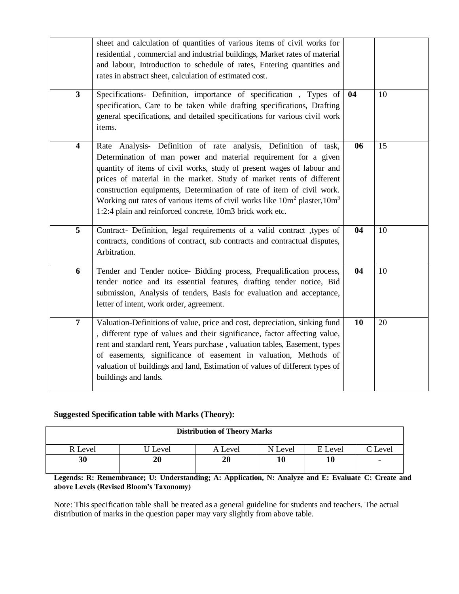|                         | sheet and calculation of quantities of various items of civil works for<br>residential, commercial and industrial buildings, Market rates of material<br>and labour, Introduction to schedule of rates, Entering quantities and<br>rates in abstract sheet, calculation of estimated cost.                                                                                                                                                                                                                    |    |    |
|-------------------------|---------------------------------------------------------------------------------------------------------------------------------------------------------------------------------------------------------------------------------------------------------------------------------------------------------------------------------------------------------------------------------------------------------------------------------------------------------------------------------------------------------------|----|----|
| $\mathbf{3}$            | Specifications- Definition, importance of specification, Types of<br>specification, Care to be taken while drafting specifications, Drafting<br>general specifications, and detailed specifications for various civil work<br>items.                                                                                                                                                                                                                                                                          | 04 | 10 |
| $\overline{\mathbf{4}}$ | Rate Analysis- Definition of rate analysis, Definition of task,<br>Determination of man power and material requirement for a given<br>quantity of items of civil works, study of present wages of labour and<br>prices of material in the market. Study of market rents of different<br>construction equipments, Determination of rate of item of civil work.<br>Working out rates of various items of civil works like $10m^2$ plaster, $10m^3$<br>1:2:4 plain and reinforced concrete, 10m3 brick work etc. | 06 | 15 |
| 5                       | Contract- Definition, legal requirements of a valid contract ,types of<br>contracts, conditions of contract, sub contracts and contractual disputes,<br>Arbitration.                                                                                                                                                                                                                                                                                                                                          | 04 | 10 |
| 6                       | Tender and Tender notice- Bidding process, Prequalification process,<br>tender notice and its essential features, drafting tender notice, Bid<br>submission, Analysis of tenders, Basis for evaluation and acceptance,<br>letter of intent, work order, agreement.                                                                                                                                                                                                                                            | 04 | 10 |
| $\overline{7}$          | Valuation-Definitions of value, price and cost, depreciation, sinking fund<br>, different type of values and their significance, factor affecting value,<br>rent and standard rent, Years purchase, valuation tables, Easement, types<br>of easements, significance of easement in valuation, Methods of<br>valuation of buildings and land, Estimation of values of different types of<br>buildings and lands.                                                                                               | 10 | 20 |

### **Suggested Specification table with Marks (Theory):**

| <b>Distribution of Theory Marks</b> |         |         |         |         |       |  |  |
|-------------------------------------|---------|---------|---------|---------|-------|--|--|
| R Level                             | J Level | A Level | N Level | E Level | Level |  |  |
| 30                                  | 20      | 20      |         | 10      | ٠     |  |  |

**Legends: R: Remembrance; U: Understanding; A: Application, N: Analyze and E: Evaluate C: Create and above Levels (Revised Bloom's Taxonomy)**

Note: This specification table shall be treated as a general guideline for students and teachers. The actual distribution of marks in the question paper may vary slightly from above table.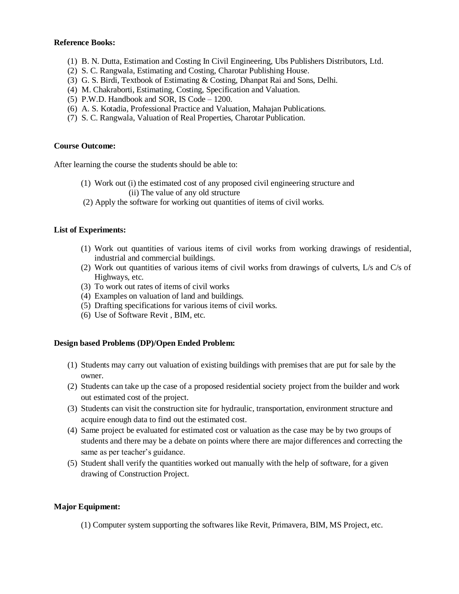### **Reference Books:**

- (1) B. N. Dutta, Estimation and Costing In Civil Engineering, Ubs Publishers Distributors, Ltd.
- (2) S. C. Rangwala, Estimating and Costing, Charotar Publishing House.
- (3) G. S. Birdi, Textbook of Estimating & Costing, Dhanpat Rai and Sons, Delhi.
- (4) M. Chakraborti, Estimating, Costing, Specification and Valuation.
- (5) P.W.D. Handbook and SOR, IS Code 1200.
- (6) A. S. Kotadia, Professional Practice and Valuation, Mahajan Publications.
- (7) S. C. Rangwala, Valuation of Real Properties, Charotar Publication.

### **Course Outcome:**

After learning the course the students should be able to:

- (1) Work out (i) the estimated cost of any proposed civil engineering structure and (ii) The value of any old structure
- (2) Apply the software for working out quantities of items of civil works.

#### **List of Experiments:**

- (1) Work out quantities of various items of civil works from working drawings of residential, industrial and commercial buildings.
- (2) Work out quantities of various items of civil works from drawings of culverts, L/s and C/s of Highways, etc.
- (3) To work out rates of items of civil works
- (4) Examples on valuation of land and buildings.
- (5) Drafting specifications for various items of civil works.
- (6) Use of Software Revit , BIM, etc.

#### **Design based Problems (DP)/Open Ended Problem:**

- (1) Students may carry out valuation of existing buildings with premises that are put for sale by the owner.
- (2) Students can take up the case of a proposed residential society project from the builder and work out estimated cost of the project.
- (3) Students can visit the construction site for hydraulic, transportation, environment structure and acquire enough data to find out the estimated cost.
- (4) Same project be evaluated for estimated cost or valuation as the case may be by two groups of students and there may be a debate on points where there are major differences and correcting the same as per teacher's guidance.
- (5) Student shall verify the quantities worked out manually with the help of software, for a given drawing of Construction Project.

### **Major Equipment:**

(1) Computer system supporting the softwares like Revit, Primavera, BIM, MS Project, etc.